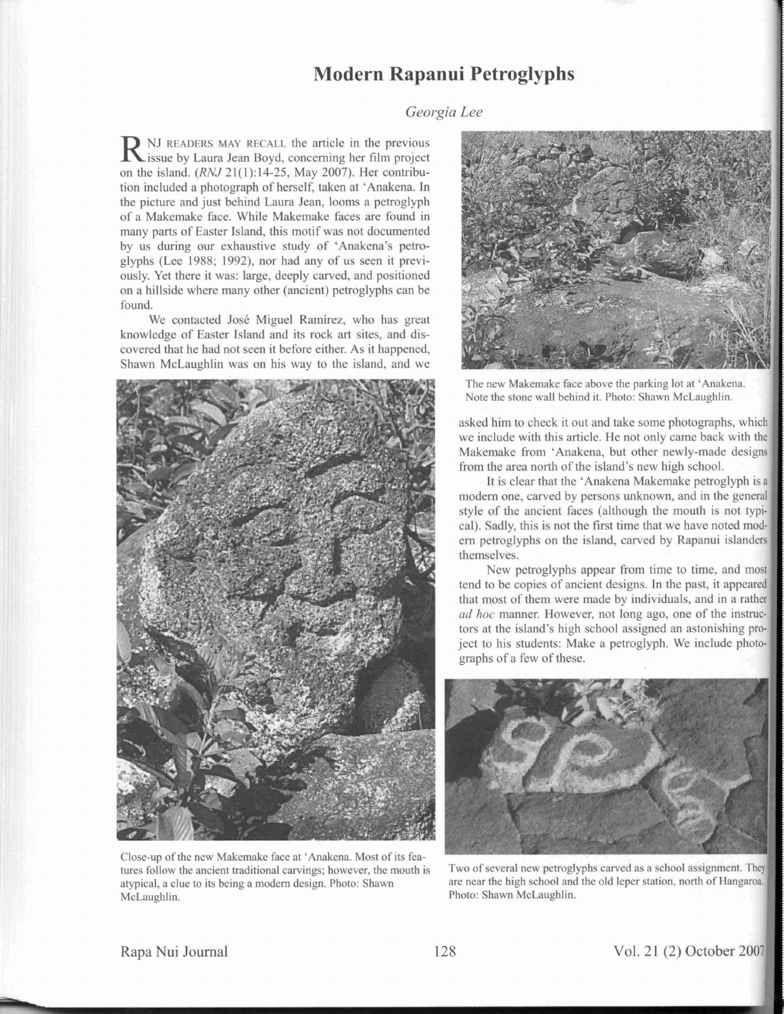## **Modern Rapanui Petroglyphs**

*Georgia Lee*

R NJ READERS MAY RECALL the article in the previous issue by Laura Jean Boyd, concerning her film project on the island. *(RNJ* 21(1):14-25, May 2007). Her contribution included a photograph of herself, taken at 'Anakena. In the picture and just behind Laura Jean, looms a petroglyph of a Makemake face. While Makemake faces are found in many parts of Easter lsland, this motif was not documented by us during our exhaustive study of 'Anakena's petroglyphs (Lee 1988; 1992), nor had any of us seen it previously. Yet there it was: large, deeply carved, and positioned on a hillside where many other (ancient) petroglyphs can be found.

We contacted Jose Miguel Ramirez, who has great knowledge of Easter Island and its rock art sites, and discovered that he had not seen it before either. As it happened, Shawn McLaughlin was on his way to the island, and we



Close-up of the new Makemake face at 'Anakena. Most of its features follow the ancient traditional carvings; however, the mouth is atypical, a clue to its being a modem design. Photo: Shawn McLaughlin.



The new Makemake face above the parking lot at 'Anakena. Note the stone wall behind it. Photo: Shawn McLaughlin.

asked him to check it out and take some photographs, which we include with this article. He not only came back with the Makemake from 'Anakena, but other newly-made designs from the area north of the island's new high school.

Jt is clear that the'Anakena Makemake petroglyph is a modem one, carved by persons unknown, and in the general style of the ancient faces (although the mouth is not typical). Sadly, this is not the first time that we have noted modem petroglyphs on the island, carved by Rapanui islander themselves.

New petroglyphs appear from time to time, and most tend to be copies of ancient designs. In the past, it appeared that most of them were made by individuals, and in a rather *ad hoc* manner. However, not long ago, one of the instructors at the island's high school assigned an astonishing project to his students: Make a petroglyph. We include photographs of a few of these.



Two of several new petroglyphs carved as a school assignment. They are near the high school and the old leper station, north of Hangaroa. Photo: Shawn McLaugblin.